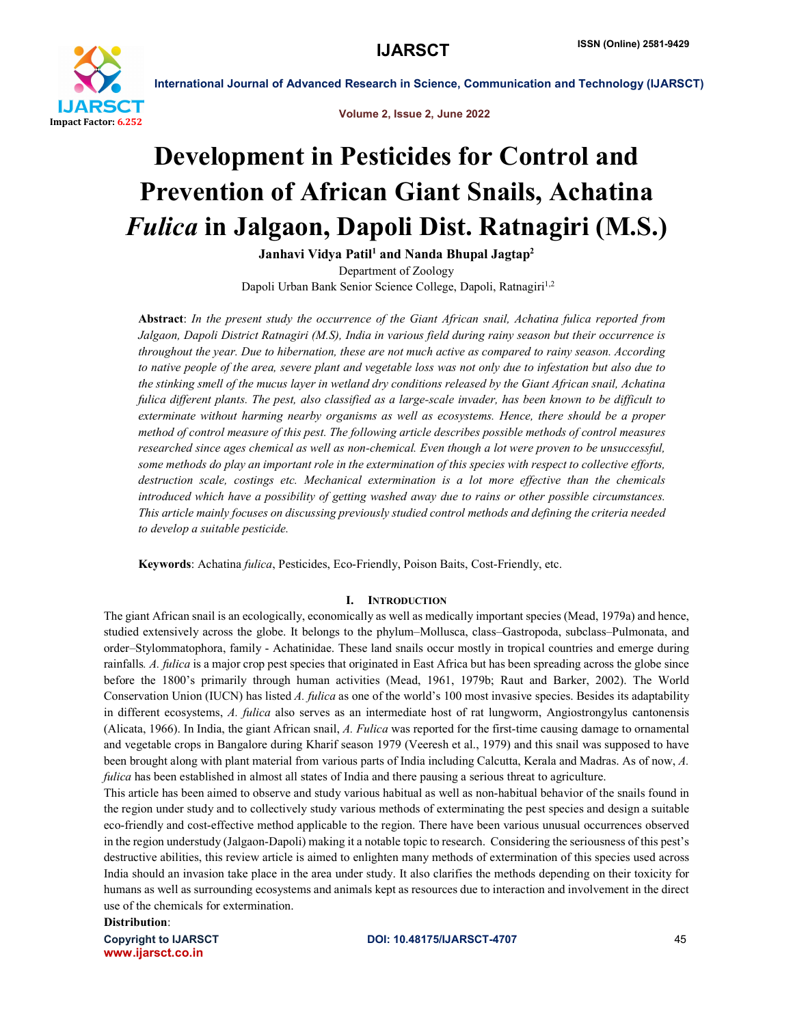

Volume 2, Issue 2, June 2022

# Development in Pesticides for Control and Prevention of African Giant Snails, Achatina *Fulica* in Jalgaon, Dapoli Dist. Ratnagiri (M.S.)

Janhavi Vidya Patil<sup>1</sup> and Nanda Bhupal Jagtap<sup>2</sup> Department of Zoology Dapoli Urban Bank Senior Science College, Dapoli, Ratnagiri<sup>1,2</sup>

Abstract: *In the present study the occurrence of the Giant African snail, Achatina fulica reported from Jalgaon, Dapoli District Ratnagiri (M.S), India in various field during rainy season but their occurrence is throughout the year. Due to hibernation, these are not much active as compared to rainy season. According to native people of the area, severe plant and vegetable loss was not only due to infestation but also due to the stinking smell of the mucus layer in wetland dry conditions released by the Giant African snail, Achatina fulica different plants. The pest, also classified as a large-scale invader, has been known to be difficult to exterminate without harming nearby organisms as well as ecosystems. Hence, there should be a proper method of control measure of this pest. The following article describes possible methods of control measures researched since ages chemical as well as non-chemical. Even though a lot were proven to be unsuccessful, some methods do play an important role in the extermination of this species with respect to collective efforts, destruction scale, costings etc. Mechanical extermination is a lot more effective than the chemicals introduced which have a possibility of getting washed away due to rains or other possible circumstances. This article mainly focuses on discussing previously studied control methods and defining the criteria needed to develop a suitable pesticide.*

Keywords: Achatina *fulica*, Pesticides, Eco-Friendly, Poison Baits, Cost-Friendly, etc.

# I. INTRODUCTION

The giant African snail is an ecologically, economically as well as medically important species (Mead, 1979a) and hence, studied extensively across the globe. It belongs to the phylum–Mollusca, class–Gastropoda, subclass–Pulmonata, and order–Stylommatophora, family - Achatinidae. These land snails occur mostly in tropical countries and emerge during rainfalls*. A. fulica* is a major crop pest species that originated in East Africa but has been spreading across the globe since before the 1800's primarily through human activities (Mead, 1961, 1979b; Raut and Barker, 2002). The World Conservation Union (IUCN) has listed *A. fulica* as one of the world's 100 most invasive species. Besides its adaptability in different ecosystems, *A. fulica* also serves as an intermediate host of rat lungworm, Angiostrongylus cantonensis (Alicata, 1966). In India, the giant African snail, *A. Fulica* was reported for the first-time causing damage to ornamental and vegetable crops in Bangalore during Kharif season 1979 (Veeresh et al., 1979) and this snail was supposed to have been brought along with plant material from various parts of India including Calcutta, Kerala and Madras. As of now, *A. fulica* has been established in almost all states of India and there pausing a serious threat to agriculture.

This article has been aimed to observe and study various habitual as well as non-habitual behavior of the snails found in the region under study and to collectively study various methods of exterminating the pest species and design a suitable eco-friendly and cost-effective method applicable to the region. There have been various unusual occurrences observed in the region understudy (Jalgaon-Dapoli) making it a notable topic to research. Considering the seriousness of this pest's destructive abilities, this review article is aimed to enlighten many methods of extermination of this species used across India should an invasion take place in the area under study. It also clarifies the methods depending on their toxicity for humans as well as surrounding ecosystems and animals kept as resources due to interaction and involvement in the direct use of the chemicals for extermination.

Distribution:

www.ijarsct.co.in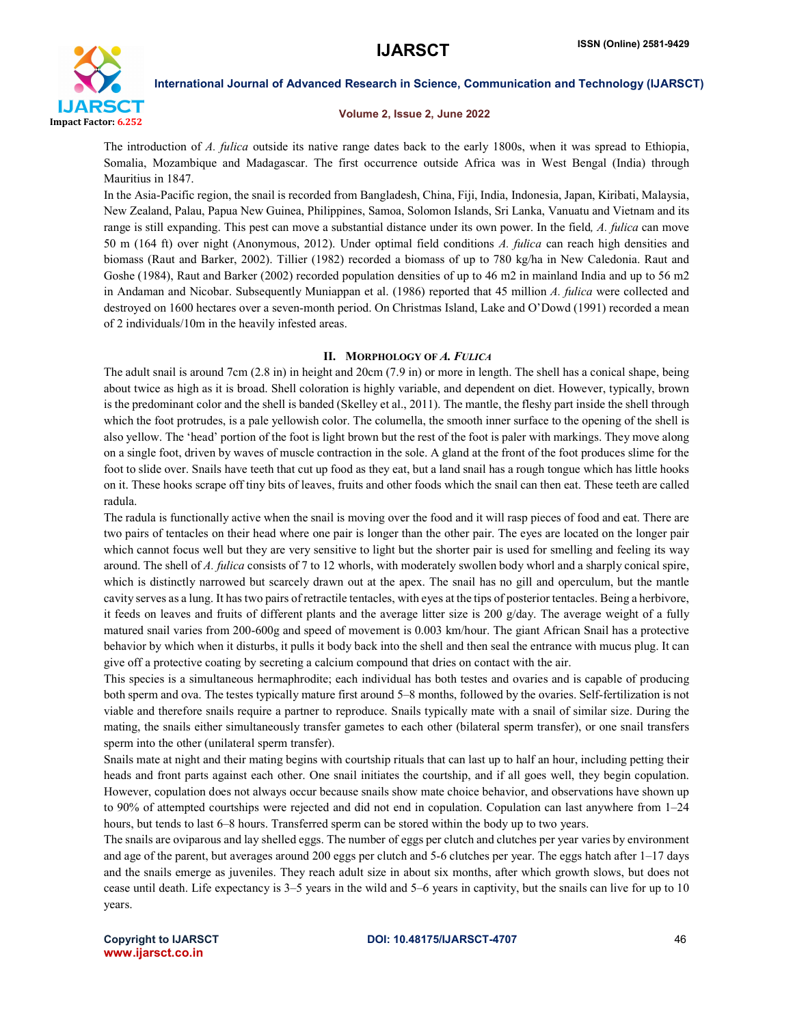

#### Volume 2, Issue 2, June 2022

The introduction of *A. fulica* outside its native range dates back to the early 1800s, when it was spread to Ethiopia, Somalia, Mozambique and Madagascar. The first occurrence outside Africa was in West Bengal (India) through Mauritius in 1847.

In the Asia-Pacific region, the snail is recorded from Bangladesh, China, Fiji, India, Indonesia, Japan, Kiribati, Malaysia, New Zealand, Palau, Papua New Guinea, Philippines, Samoa, Solomon Islands, Sri Lanka, Vanuatu and Vietnam and its range is still expanding. This pest can move a substantial distance under its own power. In the field*, A. fulica* can move 50 m (164 ft) over night (Anonymous, 2012). Under optimal field conditions *A. fulica* can reach high densities and biomass (Raut and Barker, 2002). Tillier (1982) recorded a biomass of up to 780 kg/ha in New Caledonia. Raut and Goshe (1984), Raut and Barker (2002) recorded population densities of up to 46 m2 in mainland India and up to 56 m2 in Andaman and Nicobar. Subsequently Muniappan et al. (1986) reported that 45 million *A. fulica* were collected and destroyed on 1600 hectares over a seven-month period. On Christmas Island, Lake and O'Dowd (1991) recorded a mean of 2 individuals/10m in the heavily infested areas.

# II. MORPHOLOGY OF *A. FULICA*

The adult snail is around 7cm (2.8 in) in height and 20cm (7.9 in) or more in length. The shell has a conical shape, being about twice as high as it is broad. Shell coloration is highly variable, and dependent on diet. However, typically, brown is the predominant color and the shell is banded (Skelley et al., 2011). The mantle, the fleshy part inside the shell through which the foot protrudes, is a pale yellowish color. The columella, the smooth inner surface to the opening of the shell is also yellow. The 'head' portion of the foot is light brown but the rest of the foot is paler with markings. They move along on a single foot, driven by waves of muscle contraction in the sole. A gland at the front of the foot produces slime for the foot to slide over. Snails have teeth that cut up food as they eat, but a land snail has a rough tongue which has little hooks on it. These hooks scrape off tiny bits of leaves, fruits and other foods which the snail can then eat. These teeth are called radula.

The radula is functionally active when the snail is moving over the food and it will rasp pieces of food and eat. There are two pairs of tentacles on their head where one pair is longer than the other pair. The eyes are located on the longer pair which cannot focus well but they are very sensitive to light but the shorter pair is used for smelling and feeling its way around. The shell of *A. fulica* consists of 7 to 12 whorls, with moderately swollen body whorl and a sharply conical spire, which is distinctly narrowed but scarcely drawn out at the apex. The snail has no gill and operculum, but the mantle cavity serves as a lung. It has two pairs of retractile tentacles, with eyes at the tips of posterior tentacles. Being a herbivore, it feeds on leaves and fruits of different plants and the average litter size is 200  $g$ /day. The average weight of a fully matured snail varies from 200-600g and speed of movement is 0.003 km/hour. The giant African Snail has a protective behavior by which when it disturbs, it pulls it body back into the shell and then seal the entrance with mucus plug. It can give off a protective coating by secreting a calcium compound that dries on contact with the air.

This species is a simultaneous hermaphrodite; each individual has both testes and ovaries and is capable of producing both sperm and ova. The testes typically mature first around 5–8 months, followed by the ovaries. Self-fertilization is not viable and therefore snails require a partner to reproduce. Snails typically mate with a snail of similar size. During the mating, the snails either simultaneously transfer gametes to each other (bilateral sperm transfer), or one snail transfers sperm into the other (unilateral sperm transfer).

Snails mate at night and their mating begins with courtship rituals that can last up to half an hour, including petting their heads and front parts against each other. One snail initiates the courtship, and if all goes well, they begin copulation. However, copulation does not always occur because snails show mate choice behavior, and observations have shown up to 90% of attempted courtships were rejected and did not end in copulation. Copulation can last anywhere from 1–24 hours, but tends to last 6–8 hours. Transferred sperm can be stored within the body up to two years.

The snails are oviparous and lay shelled eggs. The number of eggs per clutch and clutches per year varies by environment and age of the parent, but averages around 200 eggs per clutch and 5-6 clutches per year. The eggs hatch after 1–17 days and the snails emerge as juveniles. They reach adult size in about six months, after which growth slows, but does not cease until death. Life expectancy is 3–5 years in the wild and 5–6 years in captivity, but the snails can live for up to 10 years.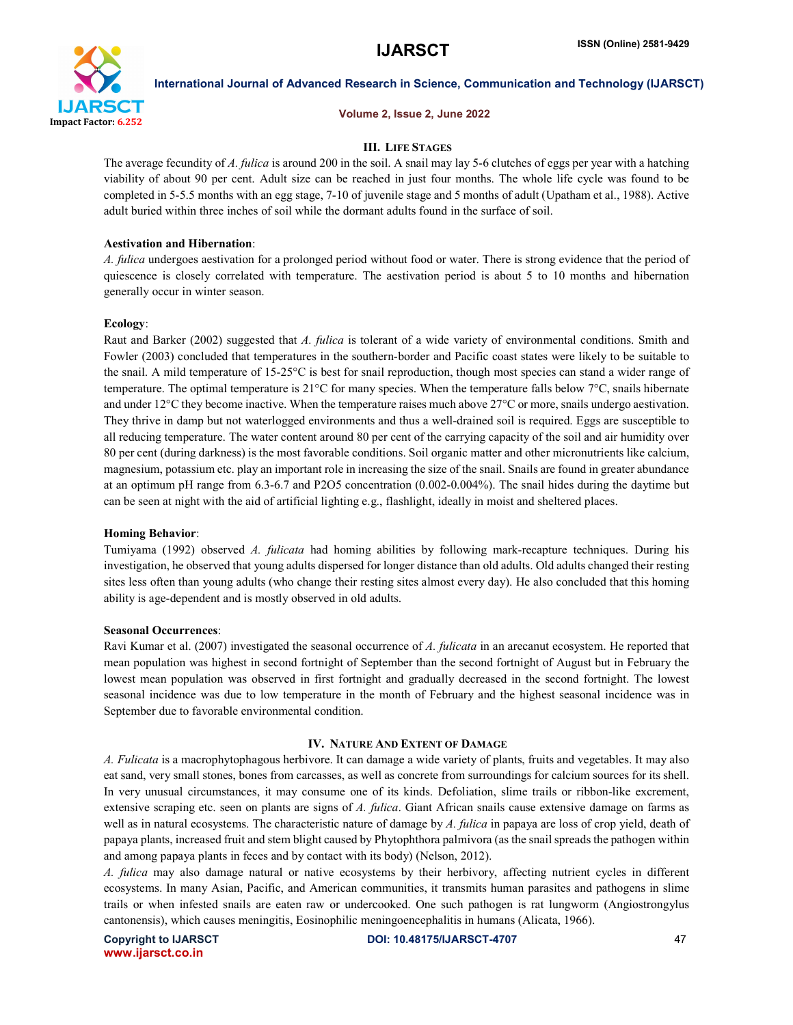

#### Volume 2, Issue 2, June 2022

# III. LIFE STAGES

The average fecundity of *A. fulica* is around 200 in the soil. A snail may lay 5-6 clutches of eggs per year with a hatching viability of about 90 per cent. Adult size can be reached in just four months. The whole life cycle was found to be completed in 5-5.5 months with an egg stage, 7-10 of juvenile stage and 5 months of adult (Upatham et al., 1988). Active adult buried within three inches of soil while the dormant adults found in the surface of soil.

## Aestivation and Hibernation:

*A. fulica* undergoes aestivation for a prolonged period without food or water. There is strong evidence that the period of quiescence is closely correlated with temperature. The aestivation period is about 5 to 10 months and hibernation generally occur in winter season.

#### Ecology:

Raut and Barker (2002) suggested that *A. fulica* is tolerant of a wide variety of environmental conditions. Smith and Fowler (2003) concluded that temperatures in the southern-border and Pacific coast states were likely to be suitable to the snail. A mild temperature of 15-25°C is best for snail reproduction, though most species can stand a wider range of temperature. The optimal temperature is 21°C for many species. When the temperature falls below 7°C, snails hibernate and under 12°C they become inactive. When the temperature raises much above 27°C or more, snails undergo aestivation. They thrive in damp but not waterlogged environments and thus a well-drained soil is required. Eggs are susceptible to all reducing temperature. The water content around 80 per cent of the carrying capacity of the soil and air humidity over 80 per cent (during darkness) is the most favorable conditions. Soil organic matter and other micronutrients like calcium, magnesium, potassium etc. play an important role in increasing the size of the snail. Snails are found in greater abundance at an optimum pH range from 6.3-6.7 and P2O5 concentration (0.002-0.004%). The snail hides during the daytime but can be seen at night with the aid of artificial lighting e.g., flashlight, ideally in moist and sheltered places.

### Homing Behavior:

Tumiyama (1992) observed *A. fulicata* had homing abilities by following mark-recapture techniques. During his investigation, he observed that young adults dispersed for longer distance than old adults. Old adults changed their resting sites less often than young adults (who change their resting sites almost every day). He also concluded that this homing ability is age-dependent and is mostly observed in old adults.

### Seasonal Occurrences:

Ravi Kumar et al. (2007) investigated the seasonal occurrence of *A. fulicata* in an arecanut ecosystem. He reported that mean population was highest in second fortnight of September than the second fortnight of August but in February the lowest mean population was observed in first fortnight and gradually decreased in the second fortnight. The lowest seasonal incidence was due to low temperature in the month of February and the highest seasonal incidence was in September due to favorable environmental condition.

## IV. NATURE AND EXTENT OF DAMAGE

*A. Fulicata* is a macrophytophagous herbivore. It can damage a wide variety of plants, fruits and vegetables. It may also eat sand, very small stones, bones from carcasses, as well as concrete from surroundings for calcium sources for its shell. In very unusual circumstances, it may consume one of its kinds. Defoliation, slime trails or ribbon-like excrement, extensive scraping etc. seen on plants are signs of *A. fulica*. Giant African snails cause extensive damage on farms as well as in natural ecosystems. The characteristic nature of damage by *A. fulica* in papaya are loss of crop yield, death of papaya plants, increased fruit and stem blight caused by Phytophthora palmivora (as the snail spreads the pathogen within and among papaya plants in feces and by contact with its body) (Nelson, 2012).

*A. fulica* may also damage natural or native ecosystems by their herbivory, affecting nutrient cycles in different ecosystems. In many Asian, Pacific, and American communities, it transmits human parasites and pathogens in slime trails or when infested snails are eaten raw or undercooked. One such pathogen is rat lungworm (Angiostrongylus cantonensis), which causes meningitis, Eosinophilic meningoencephalitis in humans (Alicata, 1966).

www.ijarsct.co.in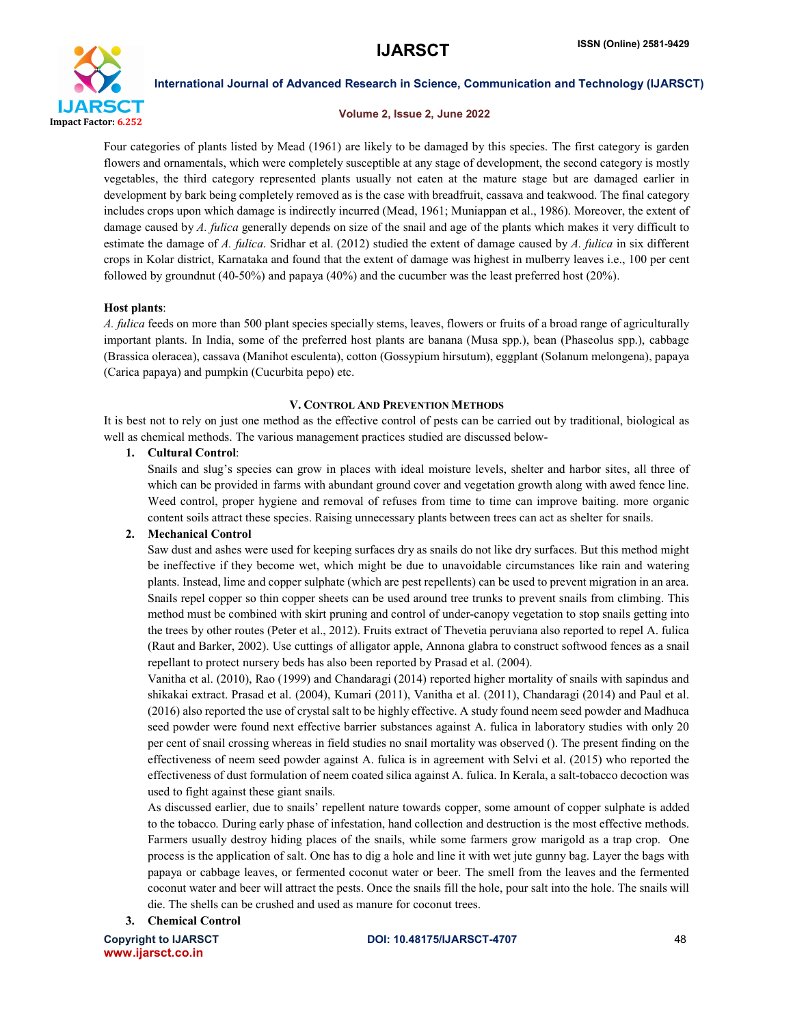

### Volume 2, Issue 2, June 2022

Four categories of plants listed by Mead (1961) are likely to be damaged by this species. The first category is garden flowers and ornamentals, which were completely susceptible at any stage of development, the second category is mostly vegetables, the third category represented plants usually not eaten at the mature stage but are damaged earlier in development by bark being completely removed as is the case with breadfruit, cassava and teakwood. The final category includes crops upon which damage is indirectly incurred (Mead, 1961; Muniappan et al., 1986). Moreover, the extent of damage caused by *A. fulica* generally depends on size of the snail and age of the plants which makes it very difficult to estimate the damage of *A. fulica*. Sridhar et al. (2012) studied the extent of damage caused by *A. fulica* in six different crops in Kolar district, Karnataka and found that the extent of damage was highest in mulberry leaves i.e., 100 per cent followed by groundnut (40-50%) and papaya (40%) and the cucumber was the least preferred host (20%).

# Host plants:

*A. fulica* feeds on more than 500 plant species specially stems, leaves, flowers or fruits of a broad range of agriculturally important plants. In India, some of the preferred host plants are banana (Musa spp.), bean (Phaseolus spp.), cabbage (Brassica oleracea), cassava (Manihot esculenta), cotton (Gossypium hirsutum), eggplant (Solanum melongena), papaya (Carica papaya) and pumpkin (Cucurbita pepo) etc.

# V. CONTROL AND PREVENTION METHODS

It is best not to rely on just one method as the effective control of pests can be carried out by traditional, biological as well as chemical methods. The various management practices studied are discussed below-

# 1. Cultural Control:

Snails and slug's species can grow in places with ideal moisture levels, shelter and harbor sites, all three of which can be provided in farms with abundant ground cover and vegetation growth along with awed fence line. Weed control, proper hygiene and removal of refuses from time to time can improve baiting. more organic content soils attract these species. Raising unnecessary plants between trees can act as shelter for snails.

# 2. Mechanical Control

Saw dust and ashes were used for keeping surfaces dry as snails do not like dry surfaces. But this method might be ineffective if they become wet, which might be due to unavoidable circumstances like rain and watering plants. Instead, lime and copper sulphate (which are pest repellents) can be used to prevent migration in an area. Snails repel copper so thin copper sheets can be used around tree trunks to prevent snails from climbing. This method must be combined with skirt pruning and control of under-canopy vegetation to stop snails getting into the trees by other routes (Peter et al., 2012). Fruits extract of Thevetia peruviana also reported to repel A. fulica (Raut and Barker, 2002). Use cuttings of alligator apple, Annona glabra to construct softwood fences as a snail repellant to protect nursery beds has also been reported by Prasad et al. (2004).

Vanitha et al. (2010), Rao (1999) and Chandaragi (2014) reported higher mortality of snails with sapindus and shikakai extract. Prasad et al. (2004), Kumari (2011), Vanitha et al. (2011), Chandaragi (2014) and Paul et al. (2016) also reported the use of crystal salt to be highly effective. A study found neem seed powder and Madhuca seed powder were found next effective barrier substances against A. fulica in laboratory studies with only 20 per cent of snail crossing whereas in field studies no snail mortality was observed (). The present finding on the effectiveness of neem seed powder against A. fulica is in agreement with Selvi et al. (2015) who reported the effectiveness of dust formulation of neem coated silica against A. fulica. In Kerala, a salt-tobacco decoction was used to fight against these giant snails.

As discussed earlier, due to snails' repellent nature towards copper, some amount of copper sulphate is added to the tobacco. During early phase of infestation, hand collection and destruction is the most effective methods. Farmers usually destroy hiding places of the snails, while some farmers grow marigold as a trap crop. One process is the application of salt. One has to dig a hole and line it with wet jute gunny bag. Layer the bags with papaya or cabbage leaves, or fermented coconut water or beer. The smell from the leaves and the fermented coconut water and beer will attract the pests. Once the snails fill the hole, pour salt into the hole. The snails will die. The shells can be crushed and used as manure for coconut trees.

3. Chemical Control

www.ijarsct.co.in

# Copyright to IJARSCT DOI: 10.48175/IJARSCT-4707 48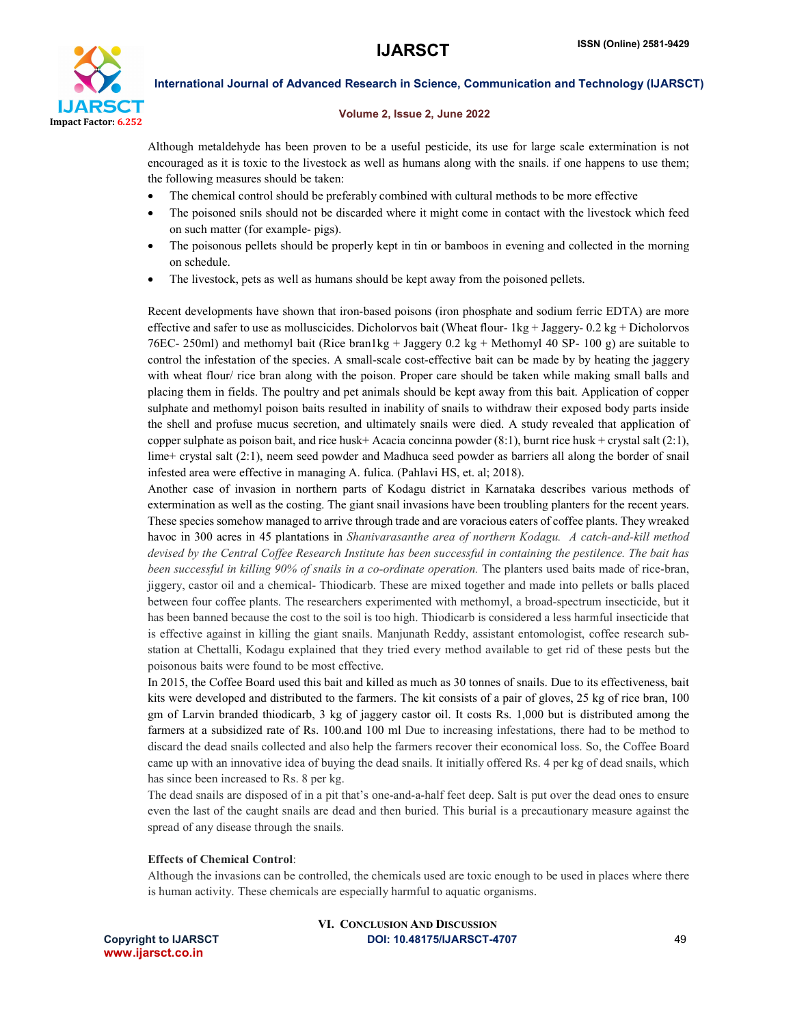

# Volume 2, Issue 2, June 2022

Although metaldehyde has been proven to be a useful pesticide, its use for large scale extermination is not encouraged as it is toxic to the livestock as well as humans along with the snails. if one happens to use them; the following measures should be taken:

- The chemical control should be preferably combined with cultural methods to be more effective
- The poisoned snils should not be discarded where it might come in contact with the livestock which feed on such matter (for example- pigs).
- The poisonous pellets should be properly kept in tin or bamboos in evening and collected in the morning on schedule.
- The livestock, pets as well as humans should be kept away from the poisoned pellets.

Recent developments have shown that iron-based poisons (iron phosphate and sodium ferric EDTA) are more effective and safer to use as molluscicides. Dicholorvos bait (Wheat flour- 1kg + Jaggery- 0.2 kg + Dicholorvos 76EC- 250ml) and methomyl bait (Rice bran1kg + Jaggery 0.2 kg + Methomyl 40 SP- 100 g) are suitable to control the infestation of the species. A small-scale cost-effective bait can be made by by heating the jaggery with wheat flour/ rice bran along with the poison. Proper care should be taken while making small balls and placing them in fields. The poultry and pet animals should be kept away from this bait. Application of copper sulphate and methomyl poison baits resulted in inability of snails to withdraw their exposed body parts inside the shell and profuse mucus secretion, and ultimately snails were died. A study revealed that application of copper sulphate as poison bait, and rice husk+ Acacia concinna powder  $(8:1)$ , burnt rice husk + crystal salt  $(2:1)$ , lime+ crystal salt (2:1), neem seed powder and Madhuca seed powder as barriers all along the border of snail infested area were effective in managing A. fulica. (Pahlavi HS, et. al; 2018).

Another case of invasion in northern parts of Kodagu district in Karnataka describes various methods of extermination as well as the costing. The giant snail invasions have been troubling planters for the recent years. These species somehow managed to arrive through trade and are voracious eaters of coffee plants. They wreaked havoc in 300 acres in 45 plantations in *Shanivarasanthe area of northern Kodagu. A catch-and-kill method*  devised by the Central Coffee Research Institute has been successful in containing the pestilence. The bait has *been successful in killing 90% of snails in a co-ordinate operation.* The planters used baits made of rice-bran, jiggery, castor oil and a chemical- Thiodicarb. These are mixed together and made into pellets or balls placed between four coffee plants. The researchers experimented with methomyl, a broad-spectrum insecticide, but it has been banned because the cost to the soil is too high. Thiodicarb is considered a less harmful insecticide that is effective against in killing the giant snails. Manjunath Reddy, assistant entomologist, coffee research substation at Chettalli, Kodagu explained that they tried every method available to get rid of these pests but the poisonous baits were found to be most effective.

In 2015, the Coffee Board used this bait and killed as much as 30 tonnes of snails. Due to its effectiveness, bait kits were developed and distributed to the farmers. The kit consists of a pair of gloves, 25 kg of rice bran, 100 gm of Larvin branded thiodicarb, 3 kg of jaggery castor oil. It costs Rs. 1,000 but is distributed among the farmers at a subsidized rate of Rs. 100.and 100 ml Due to increasing infestations, there had to be method to discard the dead snails collected and also help the farmers recover their economical loss. So, the Coffee Board came up with an innovative idea of buying the dead snails. It initially offered Rs. 4 per kg of dead snails, which has since been increased to Rs. 8 per kg.

The dead snails are disposed of in a pit that's one-and-a-half feet deep. Salt is put over the dead ones to ensure even the last of the caught snails are dead and then buried. This burial is a precautionary measure against the spread of any disease through the snails.

# Effects of Chemical Control:

Although the invasions can be controlled, the chemicals used are toxic enough to be used in places where there is human activity. These chemicals are especially harmful to aquatic organisms.

www.ijarsct.co.in

# Copyright to IJARSCT DOI: 10.48175/IJARSCT-4707 49 VI. CONCLUSION AND DISCUSSION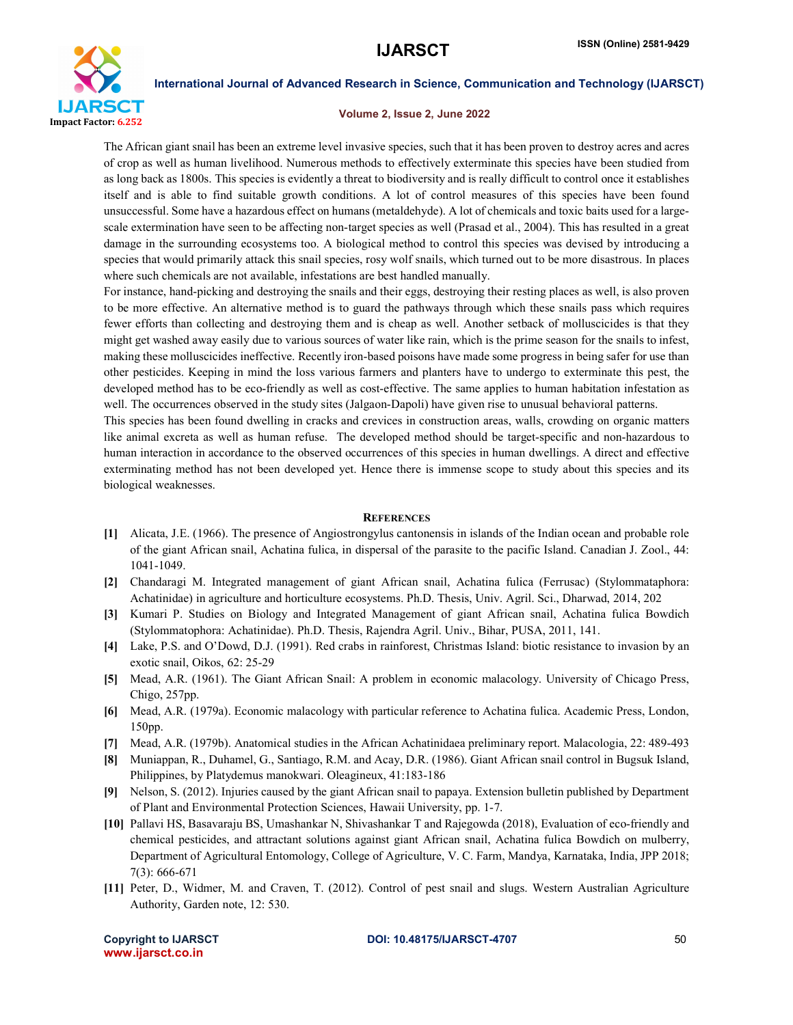

# Volume 2, Issue 2, June 2022

The African giant snail has been an extreme level invasive species, such that it has been proven to destroy acres and acres of crop as well as human livelihood. Numerous methods to effectively exterminate this species have been studied from as long back as 1800s. This species is evidently a threat to biodiversity and is really difficult to control once it establishes itself and is able to find suitable growth conditions. A lot of control measures of this species have been found unsuccessful. Some have a hazardous effect on humans (metaldehyde). A lot of chemicals and toxic baits used for a largescale extermination have seen to be affecting non-target species as well (Prasad et al., 2004). This has resulted in a great damage in the surrounding ecosystems too. A biological method to control this species was devised by introducing a species that would primarily attack this snail species, rosy wolf snails, which turned out to be more disastrous. In places where such chemicals are not available, infestations are best handled manually.

For instance, hand-picking and destroying the snails and their eggs, destroying their resting places as well, is also proven to be more effective. An alternative method is to guard the pathways through which these snails pass which requires fewer efforts than collecting and destroying them and is cheap as well. Another setback of molluscicides is that they might get washed away easily due to various sources of water like rain, which is the prime season for the snails to infest, making these molluscicides ineffective. Recently iron-based poisons have made some progress in being safer for use than other pesticides. Keeping in mind the loss various farmers and planters have to undergo to exterminate this pest, the developed method has to be eco-friendly as well as cost-effective. The same applies to human habitation infestation as well. The occurrences observed in the study sites (Jalgaon-Dapoli) have given rise to unusual behavioral patterns.

This species has been found dwelling in cracks and crevices in construction areas, walls, crowding on organic matters like animal excreta as well as human refuse. The developed method should be target-specific and non-hazardous to human interaction in accordance to the observed occurrences of this species in human dwellings. A direct and effective exterminating method has not been developed yet. Hence there is immense scope to study about this species and its biological weaknesses.

#### **REFERENCES**

- [1] Alicata, J.E. (1966). The presence of Angiostrongylus cantonensis in islands of the Indian ocean and probable role of the giant African snail, Achatina fulica, in dispersal of the parasite to the pacific Island. Canadian J. Zool., 44: 1041-1049.
- [2] Chandaragi M. Integrated management of giant African snail, Achatina fulica (Ferrusac) (Stylommataphora: Achatinidae) in agriculture and horticulture ecosystems. Ph.D. Thesis, Univ. Agril. Sci., Dharwad, 2014, 202
- [3] Kumari P. Studies on Biology and Integrated Management of giant African snail, Achatina fulica Bowdich (Stylommatophora: Achatinidae). Ph.D. Thesis, Rajendra Agril. Univ., Bihar, PUSA, 2011, 141.
- [4] Lake, P.S. and O'Dowd, D.J. (1991). Red crabs in rainforest, Christmas Island: biotic resistance to invasion by an exotic snail, Oikos, 62: 25-29
- [5] Mead, A.R. (1961). The Giant African Snail: A problem in economic malacology. University of Chicago Press, Chigo, 257pp.
- [6] Mead, A.R. (1979a). Economic malacology with particular reference to Achatina fulica. Academic Press, London, 150pp.
- [7] Mead, A.R. (1979b). Anatomical studies in the African Achatinidaea preliminary report. Malacologia, 22: 489-493
- [8] Muniappan, R., Duhamel, G., Santiago, R.M. and Acay, D.R. (1986). Giant African snail control in Bugsuk Island, Philippines, by Platydemus manokwari. Oleagineux, 41:183-186
- [9] Nelson, S. (2012). Injuries caused by the giant African snail to papaya. Extension bulletin published by Department of Plant and Environmental Protection Sciences, Hawaii University, pp. 1-7.
- [10] Pallavi HS, Basavaraju BS, Umashankar N, Shivashankar T and Rajegowda (2018), Evaluation of eco-friendly and chemical pesticides, and attractant solutions against giant African snail, Achatina fulica Bowdich on mulberry, Department of Agricultural Entomology, College of Agriculture, V. C. Farm, Mandya, Karnataka, India, JPP 2018; 7(3): 666-671
- [11] Peter, D., Widmer, M. and Craven, T. (2012). Control of pest snail and slugs. Western Australian Agriculture Authority, Garden note, 12: 530.